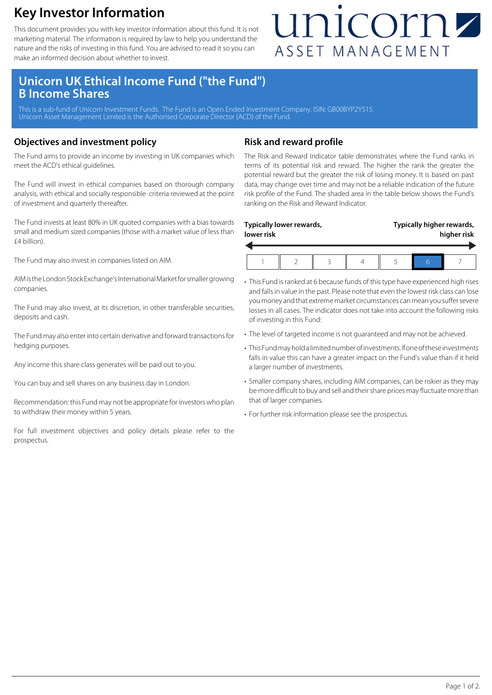### **Key Investor Information**

This document provides you with key investor information about this fund. It is not marketing material. The information is required by law to help you understand the nature and the risks of investing in this fund. You are advised to read it so you can make an informed decision about whether to invest.

## unicornz ASSET MANAGEMENT

### **Unicorn UK Ethical Income Fund ("the Fund") B Income Shares**

This is a sub-fund of Unicorn Investment Funds. The Fund is an Open Ended Investment Company. ISIN: GB00BYP2Y515. Unicorn Asset Management Limited is the Authorised Corporate Director (ACD) of the Fund.

#### **Objectives and investment policy**

The Fund aims to provide an income by investing in UK companies which meet the ACD's ethical guidelines.

The Fund will invest in ethical companies based on thorough company analysis, with ethical and socially responsible criteria reviewed at the point of investment and quarterly thereafter.

The Fund invests at least 80% in UK quoted companies with a bias towards small and medium sized companies (those with a market value of less than £4 billion).

The Fund may also invest in companies listed on AIM.

AIM is the London Stock Exchange's International Market for smaller growing companies.

The Fund may also invest, at its discretion, in other transferable securities, deposits and cash.

The Fund may also enter into certain derivative and forward transactions for hedging purposes.

Any income this share class generates will be paid out to you.

You can buy and sell shares on any business day in London.

Recommendation: this Fund may not be appropriate for investors who plan to withdraw their money within 5 years.

For full investment objectives and policy details please refer to the prospectus.

#### **Risk and reward profile**

The Risk and Reward Indicator table demonstrates where the Fund ranks in terms of its potential risk and reward. The higher the rank the greater the potential reward but the greater the risk of losing money. It is based on past data, may change over time and may not be a reliable indication of the future risk profile of the Fund. The shaded area in the table below shows the Fund's ranking on the Risk and Reward Indicator.

| lower risk | Typically lower rewards, |  | Typically higher rewards,<br>higher risk |  |  |
|------------|--------------------------|--|------------------------------------------|--|--|
|            |                          |  |                                          |  |  |

- This Fund is ranked at 6 because funds of this type have experienced high rises and falls in value in the past. Please note that even the lowest risk class can lose you money and that extreme market circumstances can mean you suffer severe losses in all cases. The indicator does not take into account the following risks of investing in this Fund:
- The level of targeted income is not guaranteed and may not be achieved.
- This Fund may hold a limited number of investments. If one of these investments falls in value this can have a greater impact on the Fund's value than if it held a larger number of investments.
- Smaller company shares, including AIM companies, can be riskier as they may be more difficult to buy and sell and their share prices may fluctuate more than that of larger companies.
- For further risk information please see the prospectus.